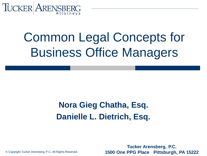

# Common Legal Concepts for Business Office Managers

#### **Nora Gieg Chatha, Esq. Danielle L. Dietrich, Esq.**

**Tucker Arensberg, P.C. 1500 One PPG Place Pittsburgh, PA 15222**

© Copyright Tucker Arensberg, P.C. All Rights Reserved.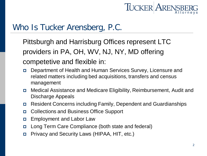

#### Who Is Tucker Arensberg, P.C.

Pittsburgh and Harrisburg Offices represent LTC providers in PA, OH, WV, NJ, NY, MD offering competetive and flexible in:

- Department of Health and Human Services Survey, Licensure and related matters including bed acquisitions, transfers and census management
- Medical Assistance and Medicare Eligibility, Reimbursement, Audit and Discharge Appeals
- Resident Concerns including Family, Dependent and Guardianships
- Collections and Business Office Support
- **Employment and Labor Law**
- Long Term Care Compliance (both state and federal)
- Privacy and Security Laws (HIPAA, HIT, etc.)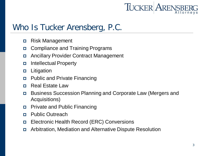

#### Who Is Tucker Arensberg, P.C.

- Risk Management
- Compliance and Training Programs
- Ancillary Provider Contract Management
- Intellectual Property
- **D** Litigation
- Public and Private Financing
- Real Estate Law
- Business Succession Planning and Corporate Law (Mergers and Acquisitions)
- **D** Private and Public Financing
- Public Outreach
- Electronic Health Record (ERC) Conversions
- Arbitration, Mediation and Alternative Dispute Resolution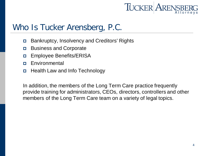

#### Who Is Tucker Arensberg, P.C.

- Bankruptcy, Insolvency and Creditors' Rights
- Business and Corporate
- Employee Benefits/ERISA
- **Environmental**
- Health Law and Info Technology

In addition, the members of the Long Term Care practice frequently provide training for administrators, CEOs, directors, controllers and other members of the Long Term Care team on a variety of legal topics.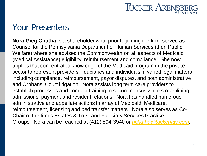

#### Your Presenters

**Nora Gieg Chatha** is a shareholder who, prior to joining the firm, served as Counsel for the Pennsylvania Department of Human Services (then Public Welfare) where she advised the Commonwealth on all aspects of Medicaid (Medical Assistance) eligibility, reimbursement and compliance. She now applies that concentrated knowledge of the Medicaid program in the private sector to represent providers, fiduciaries and individuals in varied legal matters including compliance, reimbursement, payor disputes, and both administrative and Orphans' Court litigation. Nora assists long term care providers to establish processes and conduct training to secure census while streamlining admissions, payment and resident relations. Nora has handled numerous administrative and appellate actions in array of Medicaid, Medicare, reimbursement, licensing and bed transfer matters. Nora also serves as Co-Chair of the firm's Estates & Trust and Fiduciary Services Practice Groups. Nora can be reached at (412) 594-3940 or *[nchatha@tuckerlaw.com](mailto:nchatha@tuckerlaw.com).*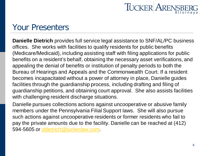

#### Your Presenters

**Danielle Dietrich** provides full service legal assistance to SNF/AL/PC business offices. She works with facilities to qualify residents for public benefits (Medicare/Medicaid), including assisting staff with filing applications for public benefits on a resident's behalf, obtaining the necessary asset verifications, and appealing the denial of benefits or institution of penalty periods to both the Bureau of Hearings and Appeals and the Commonwealth Court. If a resident becomes incapacitated without a power of attorney in place, Danielle guides facilities through the guardianship process, including drafting and filing of guardianship petitions, and obtaining court approval. She also assists facilities with challenging resident discharge situations.

Danielle pursues collections actions against uncooperative or abusive family members under the Pennsylvania Filial Support laws. She will also pursue such actions against uncooperative residents or former residents who fail to pay the private amounts due to the facility. Danielle can be reached at (412) 594-5605 or *[ddietrich@tuckerlaw.com](mailto:ddietrich@tuckerlaw.com).*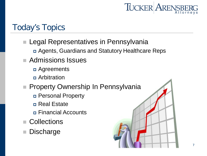

#### Today's Topics

#### Legal Representatives in Pennsylvania

- Agents, Guardians and Statutory Healthcare Reps
- Admissions Issues
	- **D** Agreements
	- **n** Arbitration
- **Property Ownership In Pennsylvania** 
	- Personal Property
	- Real Estate
	- Financial Accounts
- Collections
- **Discharge**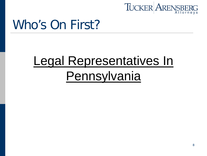

### Who's On First?

# Legal Representatives In **Pennsylvania**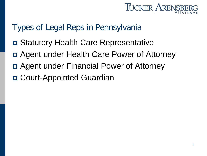

#### Types of Legal Reps in Pennsylvania

- Statutory Health Care Representative
- Agent under Health Care Power of Attorney
- Agent under Financial Power of Attorney
- □ Court-Appointed Guardian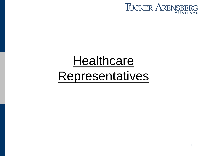

# **Healthcare Representatives**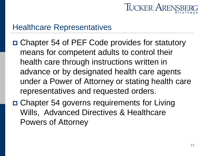

#### Healthcare Representatives

- Chapter 54 of PEF Code provides for statutory means for competent adults to control their health care through instructions written in advance or by designated health care agents under a Power of Attorney or stating health care representatives and requested orders.
- □ Chapter 54 governs requirements for Living Wills, Advanced Directives & Healthcare Powers of Attorney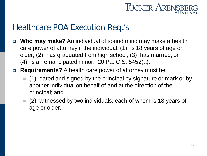

#### Healthcare POA Execution Reqt's

- **Who may make?** An individual of sound mind may make a health care power of attorney if the individual: (1) is 18 years of age or older; (2) has graduated from high school; (3) has married; or (4) is an emancipated minor. 20 Pa. C.S. 5452(a).
- **Requirements?** A health care power of attorney must be:
	- (1) dated and signed by the principal by signature or mark or by another individual on behalf of and at the direction of the principal; and
	- $(2)$  witnessed by two individuals, each of whom is 18 years of age or older.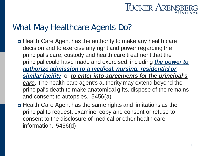

#### What May Healthcare Agents Do?

- Health Care Agent has the authority to make any health care decision and to exercise any right and power regarding the principal's care, custody and health care treatment that the principal could have made and exercised, including *the power to authorize admission to a medical, nursing, residential or similar facility*, or *to enter into agreements for the principal's care*. The health care agent's authority may extend beyond the principal's death to make anatomical gifts, dispose of the remains and consent to autopsies. 5456(a)
- Health Care Agent has the same rights and limitations as the principal to request, examine, copy and consent or refuse to consent to the disclosure of medical or other health care information. 5456(d)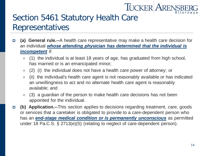### TUCKER ARENSBI

#### Section 5461 Statutory Health Care Representatives

- **(a) General rule.--**A health care representative may make a health care decision for an individual *whose attending physician has determined that the individual is incompetent* if:
	- (1) the individual is at least 18 years of age, has graduated from high school, has married or is an emancipated minor;
	- $(2)$  (i) the individual does not have a health care power of attorney; or
	- $\blacksquare$  (ii) the individual's health care agent is not reasonably available or has indicated an unwillingness to act and no alternate health care agent is reasonably available; and
	- $(3)$  a guardian of the person to make health care decisions has not been appointed for the individual.
- **(b) Application.--**This section applies to decisions regarding treatment, care, goods or services that a caretaker is obligated to provide to a care-dependent person who has an *end-stage medical condition or is permanently unconscious* as permitted under 18 Pa.C.S. § 2713(e)(5) (relating to neglect of care-dependent person).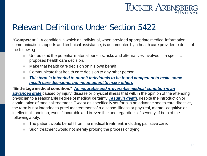

#### Relevant Definitions Under Section 5422

**"Competent."** A condition in which an individual, when provided appropriate medical information, communication supports and technical assistance, is documented by a health care provider to do all of the following:

- Understand the potential material benefits, risks and alternatives involved in a specific proposed health care decision.
- $\blacksquare$  Make that health care decision on his own behalf.
- Communicate that health care decision to any other person.
- This term is intended to permit individuals to be found competent to make some *health care decisions, but incompetent to make others*.

**"End-stage medical condition."** *An incurable and irreversible medical condition in an advanced state* caused by injury, disease or physical illness that will, in the opinion of the attending physician to a reasonable degree of medical certainty, *result in death*, despite the introduction or continuation of medical treatment. Except as specifically set forth in an advance health care directive, the term is not intended to preclude treatment of a disease, illness or physical, mental, cognitive or intellectual condition, even if incurable and irreversible and regardless of severity, if both of the following apply:

- $\blacksquare$  The patient would benefit from the medical treatment, including palliative care.
- Such treatment would not merely prolong the process of dying.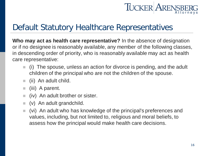## TUCKER ARENSB

#### Default Statutory Healthcare Representatives

**Who may act as health care representative?** In the absence of designation or if no designee is reasonably available, any member of the following classes, in descending order of priority, who is reasonably available may act as health care representative:

- $\blacksquare$  (i) The spouse, unless an action for divorce is pending, and the adult children of the principal who are not the children of the spouse.
- $\blacksquare$  (ii) An adult child.
- $\blacksquare$  (iii) A parent.
- $\blacksquare$  (iv) An adult brother or sister.
- $\bullet$  (v) An adult grandchild.
- (vi) An adult who has knowledge of the principal's preferences and values, including, but not limited to, religious and moral beliefs, to assess how the principal would make health care decisions.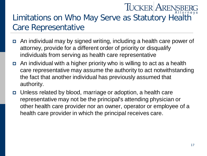### **TUCKER ARENSB** Limitations on Who May Serve as Statutory Health Care Representative

- An individual may by signed writing, including a health care power of attorney, provide for a different order of priority or disqualify individuals from serving as health care representative
- An individual with a higher priority who is willing to act as a health care representative may assume the authority to act notwithstanding the fact that another individual has previously assumed that authority.
- Unless related by blood, marriage or adoption, a health care representative may not be the principal's attending physician or other health care provider nor an owner, operator or employee of a health care provider in which the principal receives care.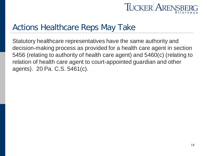

#### Actions Healthcare Reps May Take

Statutory healthcare representatives have the same authority and decision-making process as provided for a health care agent in section 5456 (relating to authority of health care agent) and 5460(c) (relating to relation of health care agent to court-appointed guardian and other agents). 20 Pa. C.S. 5461(c).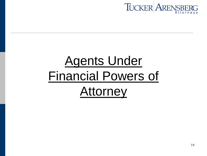

# **Agents Under** Financial Powers of **Attorney**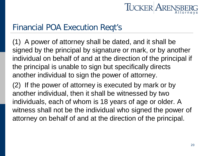

#### Financial POA Execution Reqt's

(1) A power of attorney shall be dated, and it shall be signed by the principal by signature or mark, or by another individual on behalf of and at the direction of the principal if the principal is unable to sign but specifically directs another individual to sign the power of attorney.

(2) If the power of attorney is executed by mark or by another individual, then it shall be witnessed by two individuals, each of whom is 18 years of age or older. A witness shall not be the individual who signed the power of attorney on behalf of and at the direction of the principal.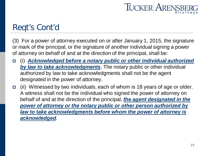

#### Reqt's Cont'd

(3) For a power of attorney executed on or after January 1, 2015, the signature or mark of the principal, or the signature of another individual signing a power of attorney on behalf of and at the direction of the principal, shall be:

- (i) *Acknowledged before a notary public or other individual authorized by law to take acknowledgments*. The notary public or other individual authorized by law to take acknowledgments shall not be the agent designated in the power of attorney.
- (ii) Witnessed by two individuals, each of whom is 18 years of age or older. A witness shall not be the individual who signed the power of attorney on behalf of and at the direction of the principal, *the agent designated in the power of attorney or the notary public or other person authorized by law to take acknowledgments before whom the power of attorney is acknowledged*.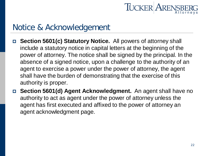

#### Notice & Acknowledgement

- **Section 5601(c) Statutory Notice.** All powers of attorney shall include a statutory notice in capital letters at the beginning of the power of attorney. The notice shall be signed by the principal. In the absence of a signed notice, upon a challenge to the authority of an agent to exercise a power under the power of attorney, the agent shall have the burden of demonstrating that the exercise of this authority is proper.
- **Section 5601(d) Agent Acknowledgment.** An agent shall have no authority to act as agent under the power of attorney unless the agent has first executed and affixed to the power of attorney an agent acknowledgment page.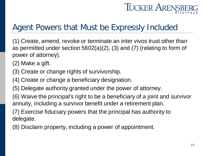## **TUCKER ARENSI**

#### Agent Powers that Must be Expressly Included

(1) Create, amend, revoke or terminate an inter vivos trust other than as permitted under section 5602(a)(2), (3) and (7) (relating to form of power of attorney).

(2) Make a gift.

- (3) Create or change rights of survivorship.
- (4) Create or change a beneficiary designation.
- (5) Delegate authority granted under the power of attorney.
- (6) Waive the principal's right to be a beneficiary of a joint and survivor annuity, including a survivor benefit under a retirement plan.

(7) Exercise fiduciary powers that the principal has authority to delegate.

(8) Disclaim property, including a power of appointment.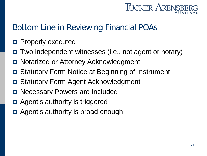

#### Bottom Line in Reviewing Financial POAs

- Properly executed
- Two independent witnesses (i.e., not agent or notary)
- Notarized or Attorney Acknowledgment
- Statutory Form Notice at Beginning of Instrument
- Statutory Form Agent Acknowledgment
- Necessary Powers are Included
- Agent's authority is triggered
- Agent's authority is broad enough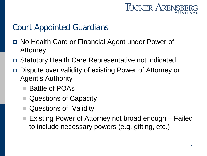

#### Court Appointed Guardians

- No Health Care or Financial Agent under Power of Attorney
- Statutory Health Care Representative not indicated
- Dispute over validity of existing Power of Attorney or Agent's Authority
	- Battle of POAs
	- Questions of Capacity
	- Questions of Validity
	- Existing Power of Attorney not broad enough Failed to include necessary powers (e.g. gifting, etc.)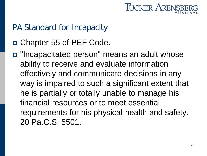

#### PA Standard for Incapacity

- □ Chapter 55 of PEF Code.
- "Incapacitated person" means an adult whose ability to receive and evaluate information effectively and communicate decisions in any way is impaired to such a significant extent that he is partially or totally unable to manage his financial resources or to meet essential requirements for his physical health and safety. 20 Pa.C.S. 5501.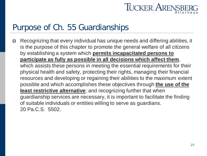

#### Purpose of Ch. 55 Guardianships

 Recognizing that every individual has unique needs and differing abilities, it is the purpose of this chapter to promote the general welfare of all citizens by establishing a system which **permits incapacitated persons to participate as fully as possible in all decisions which affect them**, which assists these persons in meeting the essential requirements for their physical health and safety, protecting their rights, managing their financial resources and developing or regaining their abilities to the maximum extent possible and which accomplishes these objectives through **the use of the least restrictive alternative**; and recognizing further that when guardianship services are necessary, it is important to facilitate the finding of suitable individuals or entities willing to serve as guardians. 20 Pa.C.S. 5502.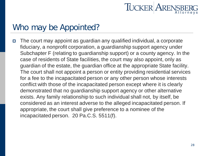

#### Who may be Appointed?

 The court may appoint as guardian any qualified individual, a corporate fiduciary, a nonprofit corporation, a guardianship support agency under Subchapter F (relating to guardianship support) or a county agency. In the case of residents of State facilities, the court may also appoint, only as guardian of the estate, the guardian office at the appropriate State facility. The court shall not appoint a person or entity providing residential services for a fee to the incapacitated person or any other person whose interests conflict with those of the incapacitated person except where it is clearly demonstrated that no guardianship support agency or other alternative exists. Any family relationship to such individual shall not, by itself, be considered as an interest adverse to the alleged incapacitated person. If appropriate, the court shall give preference to a nominee of the incapacitated person. 20 Pa.C.S. 5511(f).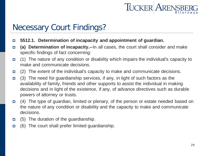

#### Necessary Court Findings?

- **5512.1. Determination of incapacity and appointment of guardian.**
- **(a) Determination of incapacity.--**In all cases, the court shall consider and make specific findings of fact concerning:
- (1) The nature of any condition or disability which impairs the individual's capacity to make and communicate decisions.
- $\Box$  (2) The extent of the individual's capacity to make and communicate decisions.
- (3) The need for guardianship services, if any, in light of such factors as the availability of family, friends and other supports to assist the individual in making decisions and in light of the existence, if any, of advance directives such as durable powers of attorney or trusts.
- (4) The type of guardian, limited or plenary, of the person or estate needed based on the nature of any condition or disability and the capacity to make and communicate decisions.
- $\Box$  (5) The duration of the guardianship.
- $\Box$  (6) The court shall prefer limited guardianship.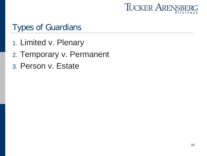

#### Types of Guardians

- 1. Limited v. Plenary
- 2. Temporary v. Permanent
- 3. Person v. Estate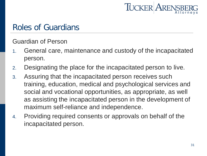

#### Roles of Guardians

Guardian of Person

- 1. General care, maintenance and custody of the incapacitated person.
- 2. Designating the place for the incapacitated person to live.
- 3. Assuring that the incapacitated person receives such training, education, medical and psychological services and social and vocational opportunities, as appropriate, as well as assisting the incapacitated person in the development of maximum self-reliance and independence.
- 4. Providing required consents or approvals on behalf of the incapacitated person.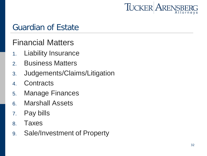

#### Guardian of Estate

#### Financial Matters

- 1. Liability Insurance
- 2. Business Matters
- 3. Judgements/Claims/Litigation
- 4. Contracts
- 5. Manage Finances
- 6. Marshall Assets
- 7. Pay bills
- 8. Taxes
- 9. Sale/Investment of Property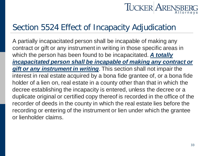## **TUCKER ARENSE**

#### Section 5524 Effect of Incapacity Adjudication

A partially incapacitated person shall be incapable of making any contract or gift or any instrument in writing in those specific areas in which the person has been found to be incapacitated. *A totally incapacitated person shall be incapable of making any contract or gift or any instrument in writing*. This section shall not impair the interest in real estate acquired by a bona fide grantee of, or a bona fide holder of a lien on, real estate in a county other than that in which the decree establishing the incapacity is entered, unless the decree or a duplicate original or certified copy thereof is recorded in the office of the recorder of deeds in the county in which the real estate lies before the recording or entering of the instrument or lien under which the grantee or lienholder claims.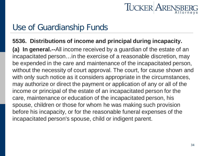

#### Use of Guardianship Funds

#### **5536. Distributions of income and principal during incapacity.**

**(a) In general.--**All income received by a guardian of the estate of an incapacitated person…in the exercise of a reasonable discretion, may be expended in the care and maintenance of the incapacitated person, without the necessity of court approval. The court, for cause shown and with only such notice as it considers appropriate in the circumstances, may authorize or direct the payment or application of any or all of the income or principal of the estate of an incapacitated person for the care, maintenance or education of the incapacitated person, his spouse, children or those for whom he was making such provision before his incapacity, or for the reasonable funeral expenses of the incapacitated person's spouse, child or indigent parent.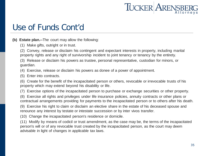

#### Use of Funds Cont'd

**(b) Estate plan.--**The court may allow the following:

(1) Make gifts, outright or in trust.

(2) Convey, release or disclaim his contingent and expectant interests in property, including marital property rights and any right of survivorship incident to joint tenancy or tenancy by the entirety.

(3) Release or disclaim his powers as trustee, personal representative, custodian for minors, or guardian.

(4) Exercise, release or disclaim his powers as donee of a power of appointment.

(5) Enter into contracts.

(6) Create for the benefit of the incapacitated person or others, revocable or irrevocable trusts of his property which may extend beyond his disability or life.

(7) Exercise options of the incapacitated person to purchase or exchange securities or other property.

(8) Exercise all rights and privileges under life insurance policies, annuity contracts or other plans or contractual arrangements providing for payments to the incapacitated person or to others after his death.

(9) Exercise his right to claim or disclaim an elective share in the estate of his deceased spouse and renounce any interest by testate or intestate succession or by inter vivos transfer.

(10) Change the incapacitated person's residence or domicile.

(11) Modify by means of codicil or trust amendment, as the case may be, the terms of the incapacitated person's will or of any revocable trust created by the incapacitated person, as the court may deem advisable in light of changes in applicable tax laws.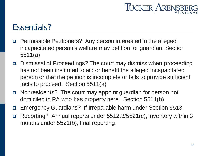

#### Essentials?

- Permissible Petitioners? Any person interested in the alleged incapacitated person's welfare may petition for guardian. Section 5511(a)
- Dismissal of Proceedings? The court may dismiss when proceeding has not been instituted to aid or benefit the alleged incapacitated person or that the petition is incomplete or fails to provide sufficient facts to proceed. Section 5511(a)
- Nonresidents? The court may appoint guardian for person not domiciled in PA who has property here. Section 5511(b)
- Emergency Guardians? If Irreparable harm under Section 5513.
- Reporting? Annual reports under 5512.3/5521(c), inventory within 3 months under 5521(b), final reporting.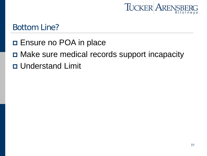

#### Bottom Line?

- **E**nsure no POA in place
- □ Make sure medical records support incapacity
- Understand Limit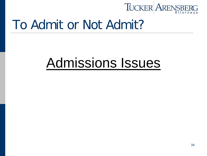

### To Admit or Not Admit?

## Admissions Issues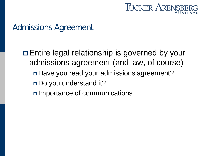

□ Entire legal relationship is governed by your admissions agreement (and law, of course) Have you read your admissions agreement? Do you understand it? Importance of communications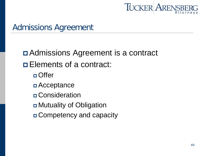

 Admissions Agreement is a contract **Elements of a contract:** □ Offer Acceptance Consideration Mutuality of Obligation Competency and capacity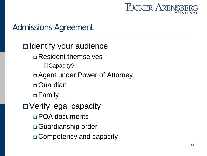

**□** Identify your audience Resident themselves ■Capacity? Agent under Power of Attorney **□**Guardian Family Verify legal capacity POA documents Guardianship order Competency and capacity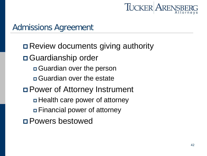

 Review documents giving authority Guardianship order Guardian over the person Guardian over the estate Power of Attorney Instrument Health care power of attorney Financial power of attorney Powers bestowed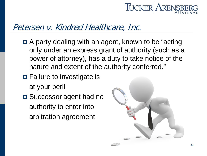

#### Petersen v. Kindred Healthcare, Inc.

- A party dealing with an agent, known to be "acting only under an express grant of authority (such as a power of attorney), has a duty to take notice of the nature and extent of the authority conferred."
- Failure to investigate is at your peril
- □ Successor agent had no authority to enter into arbitration agreement

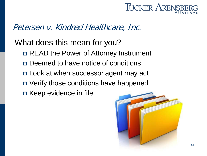

#### Petersen v. Kindred Healthcare, Inc.

What does this mean for you?

- READ the Power of Attorney Instrument
- Deemed to have notice of conditions
- Look at when successor agent may act
- Verify those conditions have happened
- Keep evidence in file

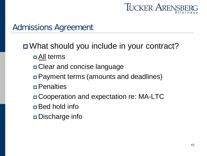

What should you include in your contract?

- All terms
- Clear and concise language
- Payment terms (amounts and deadlines)
- Penalties
- Cooperation and expectation re: MA-LTC
- Bed hold info
- Discharge info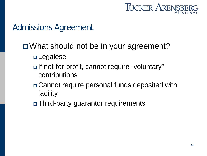

#### □ What should not be in your agreement?

- Legalese
- If not-for-profit, cannot require "voluntary" contributions
- Cannot require personal funds deposited with facility
- Third-party guarantor requirements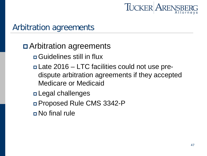

### Arbitration agreements

#### Arbitration agreements

- Guidelines still in flux
- Late 2016 LTC facilities could not use predispute arbitration agreements if they accepted Medicare or Medicaid
- Legal challenges
- Proposed Rule CMS 3342-P
- No final rule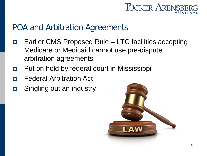

#### POA and Arbitration Agreements

- Earlier CMS Proposed Rule LTC facilities accepting Medicare or Medicaid cannot use pre-dispute arbitration agreements
- **Put on hold by federal court in Mississippi**
- Federal Arbitration Act
- Singling out an industry

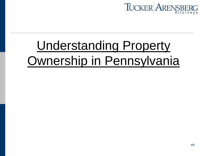

## Understanding Property Ownership in Pennsylvania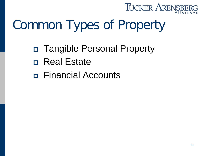

## Common Types of Property

- Tangible Personal Property
- Real Estate
- Financial Accounts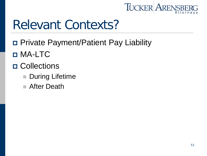

### Relevant Contexts?

- Private Payment/Patient Pay Liability
- MA-LTC
- D Collections
	- **During Lifetime**
	- After Death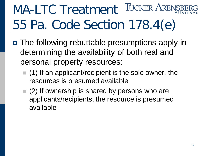### TUCKER ARENS! MA-LTC Treatment 55 Pa. Code Section 178.4(e)

- The following rebuttable presumptions apply in determining the availability of both real and personal property resources:
	- $(1)$  If an applicant/recipient is the sole owner, the resources is presumed available
	- $(2)$  If ownership is shared by persons who are applicants/recipients, the resource is presumed available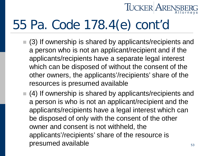## **TUCKER AREN**

## 55 Pa. Code 178.4(e) cont'd

- (3) If ownership is shared by applicants/recipients and a person who is not an applicant/recipient and if the applicants/recipients have a separate legal interest which can be disposed of without the consent of the other owners, the applicants'/recipients' share of the resources is presumed available
- $(4)$  If ownership is shared by applicants/recipients and a person is who is not an applicant/recipient and the applicants/recipients have a legal interest which can be disposed of only with the consent of the other owner and consent is not withheld, the applicants'/recipients' share of the resource is presumed available  $53$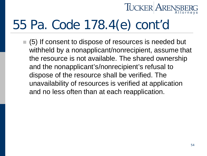### **TUCKER ARENS**

### 55 Pa. Code 178.4(e) cont'd

■ (5) If consent to dispose of resources is needed but withheld by a nonapplicant/nonrecipient, assume that the resource is not available. The shared ownership and the nonapplicant's/nonrecipient's refusal to dispose of the resource shall be verified. The unavailability of resources is verified at application and no less often than at each reapplication.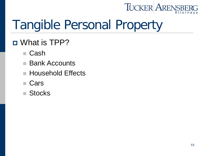### TUCKER ARENSBI

## Tangible Personal Property

### What is TPP?

- Cash
- **Bank Accounts**
- Household Effects
- Cars
- Stocks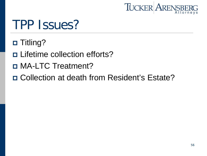

### TPP Issues?

- □ Titling?
- Lifetime collection efforts?
- MA-LTC Treatment?
- □ Collection at death from Resident's Estate?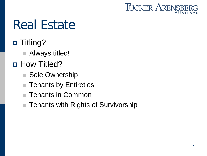

### Real Estate

- □ Titling?
	- Always titled!
- **D** How Titled?
	- Sole Ownership
	- Tenants by Entireties
	- Tenants in Common
	- Tenants with Rights of Survivorship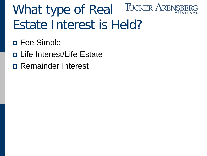### **TUCKER ARENSE** What type of Real Estate Interest is Held?

- □ Fee Simple
- Life Interest/Life Estate
- Remainder Interest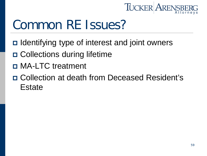

### Common RE Issues?

- $\Box$  Identifying type of interest and joint owners
- Collections during lifetime
- MA-LTC treatment
- Collection at death from Deceased Resident's **Estate**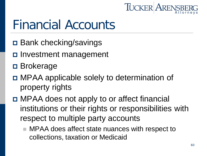

### Financial Accounts

- **□ Bank checking/savings**
- Investment management
- **□** Brokerage
- MPAA applicable solely to determination of property rights
- □ MPAA does not apply to or affect financial institutions or their rights or responsibilities with respect to multiple party accounts
	- MPAA does affect state nuances with respect to collections, taxation or Medicaid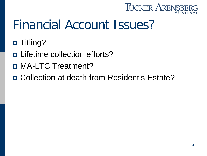

### Financial Account Issues?

- □ Titling?
- Lifetime collection efforts?
- MA-LTC Treatment?
- □ Collection at death from Resident's Estate?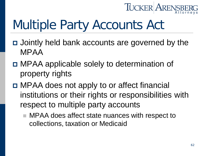

## Multiple Party Accounts Act

- Jointly held bank accounts are governed by the MPAA
- MPAA applicable solely to determination of property rights
- MPAA does not apply to or affect financial institutions or their rights or responsibilities with respect to multiple party accounts
	- MPAA does affect state nuances with respect to collections, taxation or Medicaid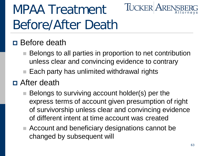## MPAA Treatment Before/After Death

### **D** Before death

■ Belongs to all parties in proportion to net contribution unless clear and convincing evidence to contrary

**TUCKER AREN** 

 $\blacksquare$  Each party has unlimited withdrawal rights

### After death

- Belongs to surviving account holder(s) per the express terms of account given presumption of right of survivorship unless clear and convincing evidence of different intent at time account was created
- Account and beneficiary designations cannot be changed by subsequent will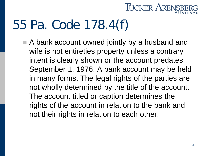

### 55 Pa. Code 178.4(f)

■ A bank account owned jointly by a husband and wife is not entireties property unless a contrary intent is clearly shown or the account predates September 1, 1976. A bank account may be held in many forms. The legal rights of the parties are not wholly determined by the title of the account. The account titled or caption determines the rights of the account in relation to the bank and not their rights in relation to each other.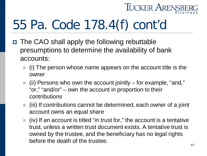

## 55 Pa. Code 178.4(f) cont'd

- The CAO shall apply the following rebuttable presumptions to determine the availability of bank accounts:
	- (i) The person whose name appears on the account title is the owner
	- $\blacksquare$  (ii) Persons who own the account jointly for example, "and," "or," "and/or" – own the account in proportion to their contributions
	- $\blacksquare$  (iii) If contributions cannot be determined, each owner of a joint account owns an equal share
	- $\blacksquare$  (iv) If an account is titled "in trust for," the account is a tentative trust, unless a written trust document exists. A tentative trust is owned by the trustee, and the beneficiary has no legal rights before the death of the trustee.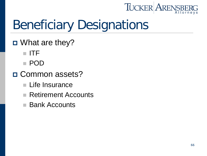

## Beneficiary Designations

- What are they?
	- ITF
	- POD
- □ Common assets?
	- **Life Insurance**
	- Retirement Accounts
	- Bank Accounts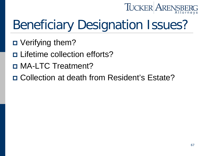

## Beneficiary Designation Issues?

- Verifying them?
- Lifetime collection efforts?
- MA-LTC Treatment?
- Collection at death from Resident's Estate?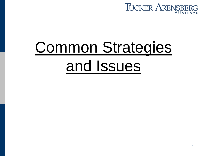

# Common Strategies and Issues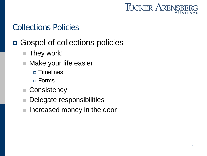

#### Collections Policies

### □ Gospel of collections policies

- **They work!**
- Make your life easier
	- **n** Timelines
	- Forms
- Consistency
- Delegate responsibilities
- Increased money in the door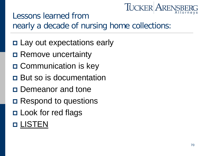## **TUCKER AREN**

### Lessons learned from nearly a decade of nursing home collections:

- □ Lay out expectations early
- **□ Remove uncertainty**
- **□ Communication is key**
- But so is documentation
- **Demeanor and tone**
- **□** Respond to questions
- Look for red flags

### **D LISTEN**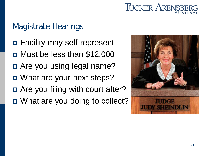

### Magistrate Hearings

- Facility may self-represent
- $\Box$  Must be less than \$12,000
- □ Are you using legal name?
- □ What are your next steps?
- □ Are you filing with court after?
- □ What are you doing to collect?

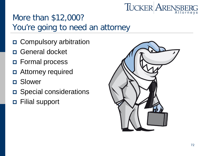### **TUCKER ARENSBI**

### More than \$12,000? You're going to need an attorney

- □ Compulsory arbitration
- General docket
- Formal process
- □ Attorney required
- Slower
- □ Special considerations
- Filial support

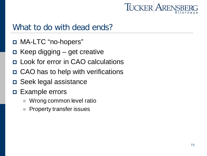

#### What to do with dead ends?

- □ MA-LTC "no-hopers"
- Keep digging get creative
- **E** Look for error in CAO calculations
- CAO has to help with verifications
- Seek legal assistance
- Example errors
	- Wrong common level ratio
	- Property transfer issues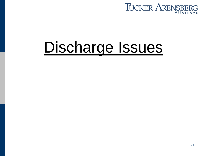

# Discharge Issues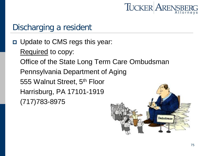

### Discharging a resident

 Update to CMS regs this year: Required to copy: Office of the State Long Term Care Ombudsman Pennsylvania Department of Aging 555 Walnut Street, 5th Floor Harrisburg, PA 17101-1919 (717)783-8975

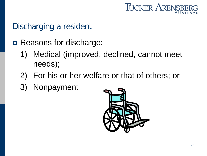

#### Discharging a resident

- □ Reasons for discharge:
	- 1) Medical (improved, declined, cannot meet needs);
	- 2) For his or her welfare or that of others; or
	- 3) Nonpayment

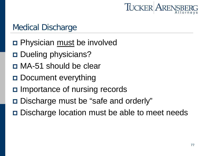

#### Medical Discharge

- **D** Physician must be involved
- □ Dueling physicians?
- MA-51 should be clear
- Document everything
- □ Importance of nursing records
- Discharge must be "safe and orderly"
- **□** Discharge location must be able to meet needs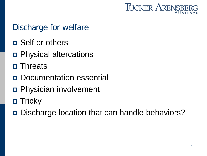

### Discharge for welfare

- Self or others
- Physical altercations
- Threats
- Documentation essential
- Physician involvement
- $\Box$  Tricky
- **□** Discharge location that can handle behaviors?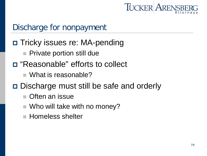

### Discharge for nonpayment

- □ Tricky issues re: MA-pending
	- **Private portion still due**
- "Reasonable" efforts to collect
	- What is reasonable?
- □ Discharge must still be safe and orderly
	- Often an issue
	- $\blacksquare$  Who will take with no money?
	- **Homeless shelter**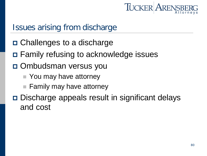

#### Issues arising from discharge

- □ Challenges to a discharge
- Family refusing to acknowledge issues
- Ombudsman versus you
	- You may have attorney
	- $\blacksquare$  Family may have attorney
- Discharge appeals result in significant delays and cost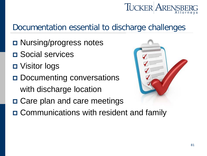# **TUCKER ARENS**

## Documentation essential to discharge challenges

- □ Nursing/progress notes
- □ Social services
- Visitor logs
- Documenting conversations with discharge location
- □ Care plan and care meetings
- Communications with resident and family